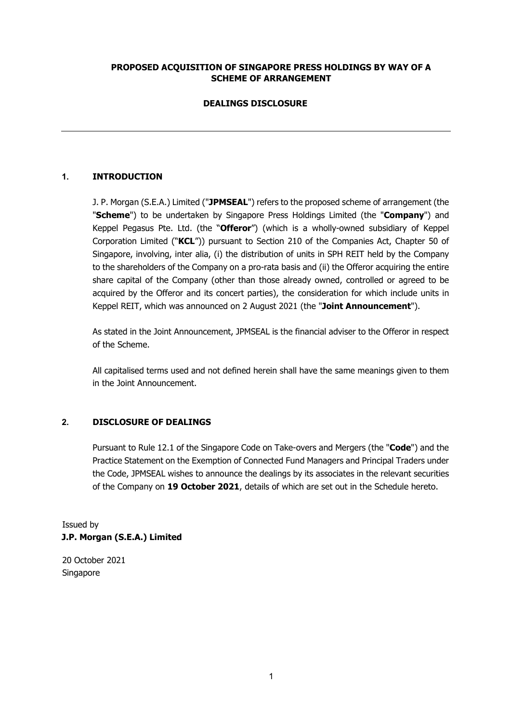# **PROPOSED ACQUISITION OF SINGAPORE PRESS HOLDINGS BY WAY OF A SCHEME OF ARRANGEMENT**

# **DEALINGS DISCLOSURE**

# **1. INTRODUCTION**

J. P. Morgan (S.E.A.) Limited ("**JPMSEAL**") refers to the proposed scheme of arrangement (the "**Scheme**") to be undertaken by Singapore Press Holdings Limited (the "**Company**") and Keppel Pegasus Pte. Ltd. (the "**Offeror**") (which is a wholly-owned subsidiary of Keppel Corporation Limited ("**KCL**")) pursuant to Section 210 of the Companies Act, Chapter 50 of Singapore, involving, inter alia, (i) the distribution of units in SPH REIT held by the Company to the shareholders of the Company on a pro-rata basis and (ii) the Offeror acquiring the entire share capital of the Company (other than those already owned, controlled or agreed to be acquired by the Offeror and its concert parties), the consideration for which include units in Keppel REIT, which was announced on 2 August 2021 (the "**Joint Announcement**").

As stated in the Joint Announcement, JPMSEAL is the financial adviser to the Offeror in respect of the Scheme.

All capitalised terms used and not defined herein shall have the same meanings given to them in the Joint Announcement.

### **2. DISCLOSURE OF DEALINGS**

Pursuant to Rule 12.1 of the Singapore Code on Take-overs and Mergers (the "**Code**") and the Practice Statement on the Exemption of Connected Fund Managers and Principal Traders under the Code, JPMSEAL wishes to announce the dealings by its associates in the relevant securities of the Company on **19 October 2021**, details of which are set out in the Schedule hereto.

Issued by **J.P. Morgan (S.E.A.) Limited** 

20 October 2021 Singapore